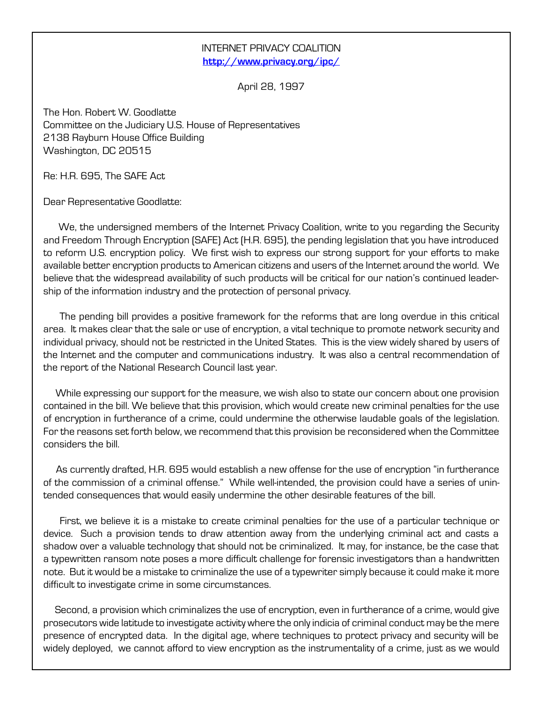## INTERNET PRIVACY COALITION <http://www.privacy.org/ipc/>

April 28, 1997

The Hon. Robert W. Goodlatte Committee on the Judiciary U.S. House of Representatives 2138 Rayburn House Office Building Washington, DC 20515

Re: H.R. 695, The SAFE Act

Dear Representative Goodlatte:

We, the undersigned members of the Internet Privacy Coalition, write to you regarding the Security and Freedom Through Encryption (SAFE) Act (H.R. 695), the pending legislation that you have introduced to reform U.S. encryption policy. We first wish to express our strong support for your efforts to make available better encryption products to American citizens and users of the Internet around the world. We believe that the widespread availability of such products will be critical for our nation's continued leadership of the information industry and the protection of personal privacy.

 The pending bill provides a positive framework for the reforms that are long overdue in this critical area. It makes clear that the sale or use of encryption, a vital technique to promote network security and individual privacy, should not be restricted in the United States. This is the view widely shared by users of the Internet and the computer and communications industry. It was also a central recommendation of the report of the National Research Council last year.

 While expressing our support for the measure, we wish also to state our concern about one provision contained in the bill. We believe that this provision, which would create new criminal penalties for the use of encryption in furtherance of a crime, could undermine the otherwise laudable goals of the legislation. For the reasons set forth below, we recommend that this provision be reconsidered when the Committee considers the bill.

As currently drafted, H.R. 695 would establish a new offense for the use of encryption "in furtherance of the commission of a criminal offense." While well-intended, the provision could have a series of unintended consequences that would easily undermine the other desirable features of the bill.

 First, we believe it is a mistake to create criminal penalties for the use of a particular technique or device. Such a provision tends to draw attention away from the underlying criminal act and casts a shadow over a valuable technology that should not be criminalized. It may, for instance, be the case that a typewritten ransom note poses a more difficult challenge for forensic investigators than a handwritten note. But it would be a mistake to criminalize the use of a typewriter simply because it could make it more difficult to investigate crime in some circumstances.

 Second, a provision which criminalizes the use of encryption, even in furtherance of a crime, would give prosecutors wide latitude to investigate activity where the only indicia of criminal conduct may be the mere presence of encrypted data. In the digital age, where techniques to protect privacy and security will be widely deployed, we cannot afford to view encryption as the instrumentality of a crime, just as we would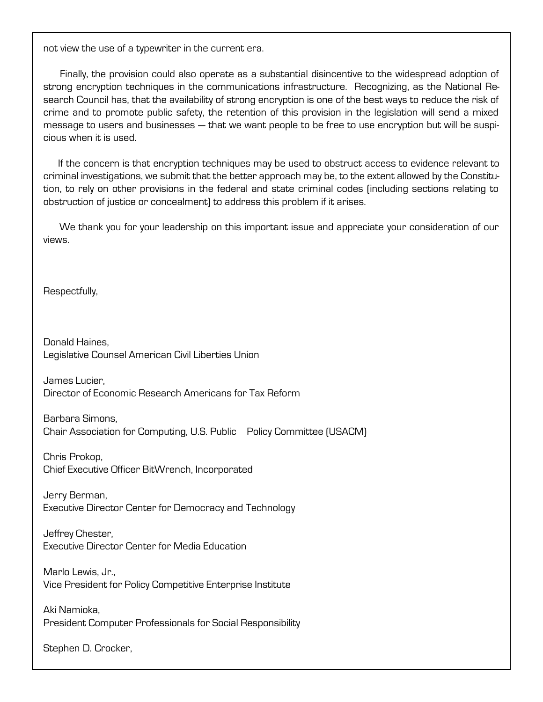not view the use of a typewriter in the current era.

 Finally, the provision could also operate as a substantial disincentive to the widespread adoption of strong encryption techniques in the communications infrastructure. Recognizing, as the National Research Council has, that the availability of strong encryption is one of the best ways to reduce the risk of crime and to promote public safety, the retention of this provision in the legislation will send a mixed message to users and businesses — that we want people to be free to use encryption but will be suspicious when it is used.

 If the concern is that encryption techniques may be used to obstruct access to evidence relevant to criminal investigations, we submit that the better approach may be, to the extent allowed by the Constitution, to rely on other provisions in the federal and state criminal codes (including sections relating to obstruction of justice or concealment) to address this problem if it arises.

 We thank you for your leadership on this important issue and appreciate your consideration of our views.

Respectfully,

Donald Haines, Legislative Counsel American Civil Liberties Union

James Lucier, Director of Economic Research Americans for Tax Reform

Barbara Simons, Chair Association for Computing, U.S. Public Policy Committee (USACM)

Chris Prokop, Chief Executive Officer BitWrench, Incorporated

Jerry Berman, Executive Director Center for Democracy and Technology

Jeffrey Chester, Executive Director Center for Media Education

Marlo Lewis, Jr., Vice President for Policy Competitive Enterprise Institute

Aki Namioka, President Computer Professionals for Social Responsibility

Stephen D. Crocker,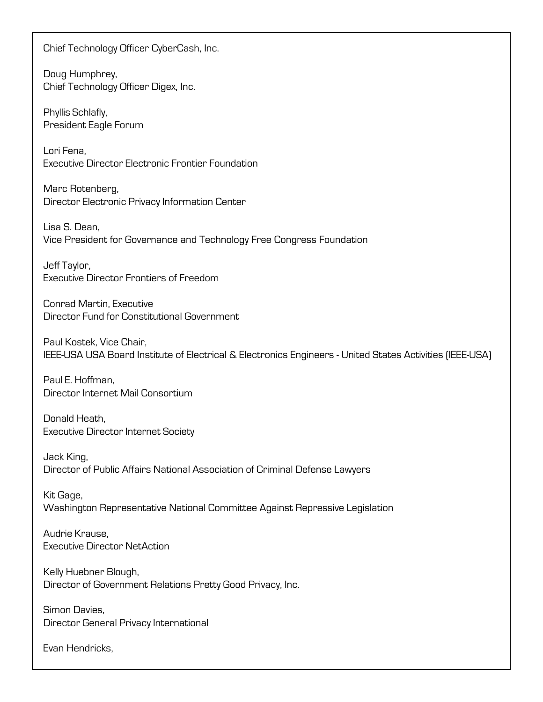Chief Technology Officer CyberCash, Inc.

Doug Humphrey, Chief Technology Officer Digex, Inc.

Phyllis Schlafly, President Eagle Forum

Lori Fena, Executive Director Electronic Frontier Foundation

Marc Rotenberg, Director Electronic Privacy Information Center

Lisa S. Dean, Vice President for Governance and Technology Free Congress Foundation

Jeff Taylor, Executive Director Frontiers of Freedom

Conrad Martin, Executive Director Fund for Constitutional Government

Paul Kostek, Vice Chair, IEEE-USA USA Board Institute of Electrical & Electronics Engineers - United States Activities (IEEE-USA)

Paul E. Hoffman, Director Internet Mail Consortium

Donald Heath, Executive Director Internet Society

Jack King, Director of Public Affairs National Association of Criminal Defense Lawyers

Kit Gage, Washington Representative National Committee Against Repressive Legislation

Audrie Krause, Executive Director NetAction

Kelly Huebner Blough, Director of Government Relations Pretty Good Privacy, Inc.

Simon Davies, Director General Privacy International

Evan Hendricks,